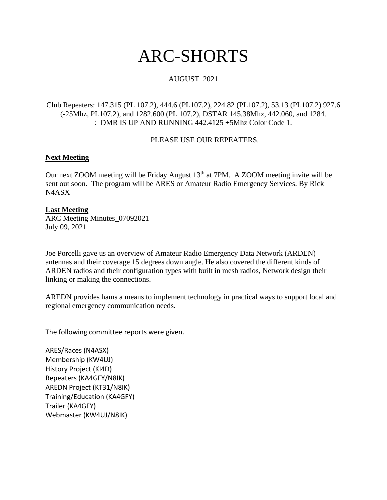# ARC-SHORTS

# AUGUST 2021

## Club Repeaters: 147.315 (PL 107.2), 444.6 (PL107.2), 224.82 (PL107.2), 53.13 (PL107.2) 927.6 (-25Mhz, PL107.2), and 1282.600 (PL 107.2), DSTAR 145.38Mhz, 442.060, and 1284. : DMR IS UP AND RUNNING 442.4125 +5Mhz Color Code 1.

## PLEASE USE OUR REPEATERS.

## **Next Meeting**

Our next ZOOM meeting will be Friday August  $13<sup>th</sup>$  at 7PM. A ZOOM meeting invite will be sent out soon. The program will be ARES or Amateur Radio Emergency Services. By Rick N4ASX

## **Last Meeting**

ARC Meeting Minutes\_07092021 July 09, 2021

Joe Porcelli gave us an overview of Amateur Radio Emergency Data Network (ARDEN) antennas and their coverage 15 degrees down angle. He also covered the different kinds of ARDEN radios and their configuration types with built in mesh radios, Network design their linking or making the connections.

AREDN provides hams a means to implement technology in practical ways to support local and regional emergency communication needs.

The following committee reports were given.

ARES/Races (N4ASX) Membership (KW4UJ) History Project (KI4D) Repeaters (KA4GFY/N8IK) AREDN Project (KT31/N8IK) Training/Education (KA4GFY) Trailer (KA4GFY) Webmaster (KW4UJ/N8IK)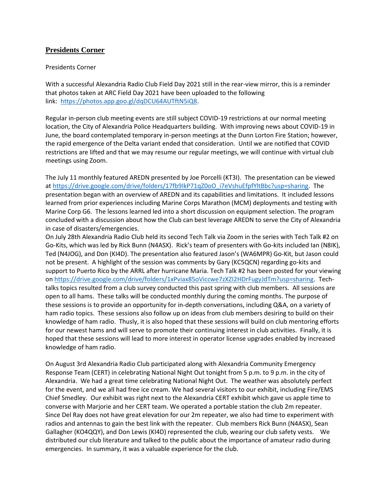## **Presidents Corner**

#### Presidents Corner

With a successful Alexandria Radio Club Field Day 2021 still in the rear-view mirror, this is a reminder that photos taken at ARC Field Day 2021 have been uploaded to the following link: [https://photos.app.goo.gl/dqDCU64AUTftN5iQ8.](https://photos.app.goo.gl/dqDCU64AUTftN5iQ8)

Regular in-person club meeting events are still subject COVID-19 restrictions at our normal meeting location, the City of Alexandria Police Headquarters building. With improving news about COVID-19 in June, the board contemplated temporary in-person meetings at the Dunn Lorton Fire Station; however, the rapid emergence of the Delta variant ended that consideration. Until we are notified that COVID restrictions are lifted and that we may resume our regular meetings, we will continue with virtual club meetings using Zoom.

The July 11 monthly featured AREDN presented by Joe Porcelli (KT3I). The presentation can be viewed a[t https://drive.google.com/drive/folders/17fb9IkP71qZ0oO\\_i7eVshuEfpfYltBbc?usp=sharing.](https://drive.google.com/drive/folders/17fb9IkP71qZ0oO_i7eVshuEfpfYltBbc?usp=sharing) The presentation began with an overview of AREDN and its capabilities and limitations. It included lessons learned from prior experiences including Marine Corps Marathon (MCM) deployments and testing with Marine Corp G6. The lessons learned led into a short discussion on equipment selection. The program concluded with a discussion about how the Club can best leverage AREDN to serve the City of Alexandria in case of disasters/emergencies.

On July 28th Alexandria Radio Club held its second Tech Talk via Zoom in the series with Tech Talk #2 on Go-Kits, which was led by Rick Bunn (N4ASX). Rick's team of presenters with Go-kits included Ian (N8IK), Ted (N4JOG), and Don (KI4D). The presentation also featured Jason's (WA6MPR) Go-Kit, but Jason could not be present. A highlight of the session was comments by Gary (KC5QCN) regarding go-kits and support to Puerto Rico by the ARRL after hurricane Maria. Tech Talk #2 has been posted for your viewing on [https://drive.google.com/drive/folders/1xPviax85oViccwe7zXZI2HDrFugyJdTm?usp=sharing.](https://drive.google.com/drive/folders/1xPviax85oViccwe7zXZI2HDrFugyJdTm?usp=sharing) Techtalks topics resulted from a club survey conducted this past spring with club members. All sessions are open to all hams. These talks will be conducted monthly during the coming months. The purpose of these sessions is to provide an opportunity for in-depth conversations, including Q&A, on a variety of ham radio topics. These sessions also follow up on ideas from club members desiring to build on their knowledge of ham radio. Thusly, it is also hoped that these sessions will build on club mentoring efforts for our newest hams and will serve to promote their continuing interest in club activities. Finally, it is hoped that these sessions will lead to more interest in operator license upgrades enabled by increased knowledge of ham radio.

On August 3rd Alexandria Radio Club participated along with Alexandria Community Emergency Response Team (CERT) in celebrating National Night Out tonight from 5 p.m. to 9 p.m. in the city of Alexandria. We had a great time celebrating National Night Out. The weather was absolutely perfect for the event, and we all had free ice cream. We had several visitors to our exhibit, including Fire/EMS Chief Smedley. Our exhibit was right next to the Alexandria CERT exhibit which gave us apple time to converse with Marjorie and her CERT team. We operated a portable station the club 2m repeater. Since Del Ray does not have great elevation for our 2m repeater, we also had time to experiment with radios and antennas to gain the best link with the repeater. Club members Rick Bunn (N4ASX), Sean Gallagher (KO4QQY), and Don Lewis (KI4D) represented the club, wearing our club safety vests. We distributed our club literature and talked to the public about the importance of amateur radio during emergencies. In summary, it was a valuable experience for the club.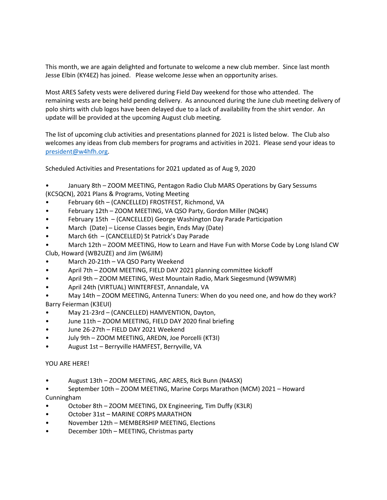This month, we are again delighted and fortunate to welcome a new club member. Since last month Jesse Elbin (KY4EZ) has joined. Please welcome Jesse when an opportunity arises.

Most ARES Safety vests were delivered during Field Day weekend for those who attended. The remaining vests are being held pending delivery. As announced during the June club meeting delivery of polo shirts with club logos have been delayed due to a lack of availability from the shirt vendor. An update will be provided at the upcoming August club meeting.

The list of upcoming club activities and presentations planned for 2021 is listed below. The Club also welcomes any ideas from club members for programs and activities in 2021. Please send your ideas to [president@w4hfh.org.](mailto:president@w4hfh.org)

Scheduled Activities and Presentations for 2021 updated as of Aug 9, 2020

- January 8th ZOOM MEETING, Pentagon Radio Club MARS Operations by Gary Sessums (KC5QCN), 2021 Plans & Programs, Voting Meeting
- February 6th (CANCELLED) FROSTFEST, Richmond, VA
- February 12th ZOOM MEETING, VA QSO Party, Gordon Miller (NQ4K)
- February 15th (CANCELLED) George Washington Day Parade Participation
- March (Date) License Classes begin, Ends May (Date)
- March 6th (CANCELLED) St Patrick's Day Parade
- March 12th ZOOM MEETING, How to Learn and Have Fun with Morse Code by Long Island CW Club, Howard (WB2UZE) and Jim (W6JIM)
- March 20-21th VA QSO Party Weekend
- April 7th ZOOM MEETING, FIELD DAY 2021 planning committee kickoff
- April 9th ZOOM MEETING, West Mountain Radio, Mark Siegesmund (W9WMR)
- April 24th (VIRTUAL) WINTERFEST, Annandale, VA
- May 14th ZOOM MEETING, Antenna Tuners: When do you need one, and how do they work? Barry Feierman (K3EUI)
- May 21-23rd (CANCELLED) HAMVENTION, Dayton,
- June 11th ZOOM MEETING, FIELD DAY 2020 final briefing
- June 26-27th FIELD DAY 2021 Weekend
- July 9th ZOOM MEETING, AREDN, Joe Porcelli (KT3I)
- August 1st Berryville HAMFEST, Berryville, VA

#### YOU ARE HERE!

- August 13th ZOOM MEETING, ARC ARES, Rick Bunn (N4ASX)
- September 10th ZOOM MEETING, Marine Corps Marathon (MCM) 2021 Howard Cunningham
- October 8th ZOOM MEETING, DX Engineering, Tim Duffy (K3LR)
- October 31st MARINE CORPS MARATHON
- November 12th MEMBERSHIP MEETING, Elections
- December 10th MEETING, Christmas party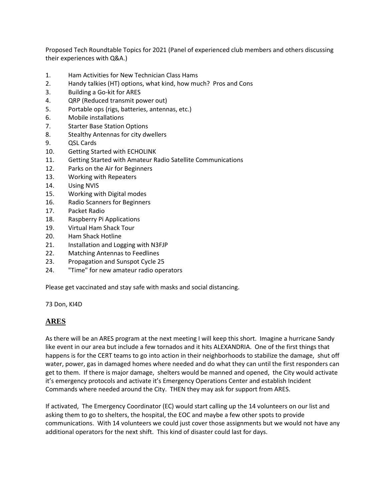Proposed Tech Roundtable Topics for 2021 (Panel of experienced club members and others discussing their experiences with Q&A.)

- 1. Ham Activities for New Technician Class Hams
- 2. Handy talkies (HT) options, what kind, how much? Pros and Cons
- 3. Building a Go-kit for ARES
- 4. QRP (Reduced transmit power out)
- 5. Portable ops (rigs, batteries, antennas, etc.)
- 6. Mobile installations
- 7. Starter Base Station Options
- 8. Stealthy Antennas for city dwellers
- 9. QSL Cards
- 10. Getting Started with ECHOLINK
- 11. Getting Started with Amateur Radio Satellite Communications
- 12. Parks on the Air for Beginners
- 13. Working with Repeaters
- 14. Using NVIS
- 15. Working with Digital modes
- 16. Radio Scanners for Beginners
- 17. Packet Radio
- 18. Raspberry Pi Applications
- 19. Virtual Ham Shack Tour
- 20. Ham Shack Hotline
- 21. Installation and Logging with N3FJP
- 22. Matching Antennas to Feedlines
- 23. Propagation and Sunspot Cycle 25
- 24. "Time" for new amateur radio operators

Please get vaccinated and stay safe with masks and social distancing.

73 Don, KI4D

## **ARES**

As there will be an ARES program at the next meeting I will keep this short. Imagine a hurricane Sandy like event in our area but include a few tornados and it hits ALEXANDRIA. One of the first things that happens is for the CERT teams to go into action in their neighborhoods to stabilize the damage, shut off water, power, gas in damaged homes where needed and do what they can until the first responders can get to them. If there is major damage, shelters would be manned and opened, the City would activate it's emergency protocols and activate it's Emergency Operations Center and establish Incident Commands where needed around the City. THEN they may ask for support from ARES.

If activated, The Emergency Coordinator (EC) would start calling up the 14 volunteers on our list and asking them to go to shelters, the hospital, the EOC and maybe a few other spots to provide communications. With 14 volunteers we could just cover those assignments but we would not have any additional operators for the next shift. This kind of disaster could last for days.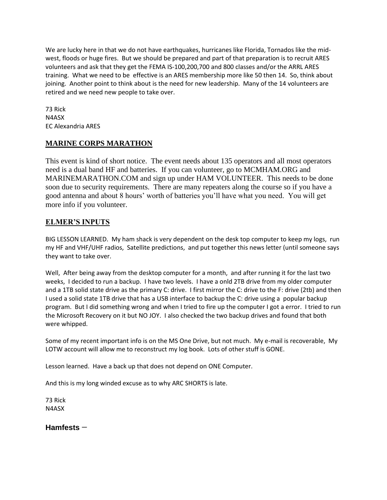We are lucky here in that we do not have earthquakes, hurricanes like Florida, Tornados like the midwest, floods or huge fires. But we should be prepared and part of that preparation is to recruit ARES volunteers and ask that they get the FEMA IS-100,200,700 and 800 classes and/or the ARRL ARES training. What we need to be effective is an ARES membership more like 50 then 14. So, think about joining. Another point to think about is the need for new leadership. Many of the 14 volunteers are retired and we need new people to take over.

73 Rick N4ASX EC Alexandria ARES

# **MARINE CORPS MARATHON**

This event is kind of short notice. The event needs about 135 operators and all most operators need is a dual band HF and batteries. If you can volunteer, go to MCMHAM.ORG and MARINEMARATHON.COM and sign up under HAM VOLUNTEER. This needs to be done soon due to security requirements. There are many repeaters along the course so if you have a good antenna and about 8 hours' worth of batteries you'll have what you need. You will get more info if you volunteer.

# **ELMER'S INPUTS**

BIG LESSON LEARNED. My ham shack is very dependent on the desk top computer to keep my logs, run my HF and VHF/UHF radios, Satellite predictions, and put together this news letter (until someone says they want to take over.

Well, After being away from the desktop computer for a month, and after running it for the last two weeks, I decided to run a backup. I have two levels. I have a onld 2TB drive from my older computer and a 1TB solid state drive as the primary C: drive. I first mirror the C: drive to the F: drive (2tb) and then I used a solid state 1TB drive that has a USB interface to backup the C: drive using a popular backup program. But I did something wrong and when I tried to fire up the computer I got a error. I tried to run the Microsoft Recovery on it but NO JOY. I also checked the two backup drives and found that both were whipped.

Some of my recent important info is on the MS One Drive, but not much. My e-mail is recoverable, My LOTW account will allow me to reconstruct my log book. Lots of other stuff is GONE.

Lesson learned. Have a back up that does not depend on ONE Computer.

And this is my long winded excuse as to why ARC SHORTS is late.

73 Rick N4ASX

**Hamfests** –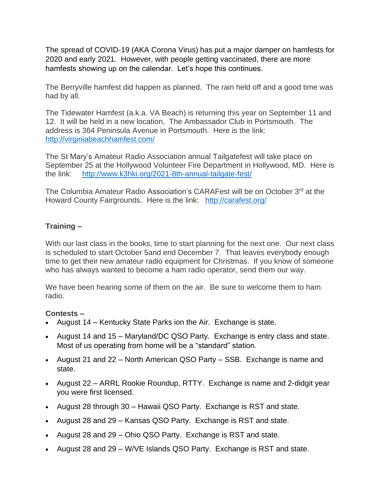The spread of COVID-19 (AKA Corona Virus) has put a major damper on hamfests for 2020 and early 2021. However, with people getting vaccinated, there are more hamfests showing up on the calendar. Let's hope this continues.

The Berryville hamfest did happen as planned. The rain held off and a good time was had by all.

The Tidewater Hamfest (a.k.a. VA Beach) is returning this year on September 11 and 12. It will be held in a new location, The Ambassador Club in Portsmouth. The address is 364 Peninsula Avenue in Portsmouth. Here is the link: <http://virginiabeachhamfest.com/>

The St Mary's Amateur Radio Association annual Tailgatefest will take place on September 25 at the Hollywood Volunteer Fire Department in Hollywood, MD. Here is the link: <http://www.k3hki.org/2021-8th-annual-tailgate-fest/>

The Columbia Amateur Radio Association's CARAFest will be on October 3<sup>rd</sup> at the Howard County Fairgrounds. Here is the link: <http://carafest.org/>

# **Training –**

With our last class in the books, time to start planning for the next one. Our next class is scheduled to start October 5and end December 7. That leaves everybody enough time to get their new amateur radio equipment for Christmas. If you know of someone who has always wanted to become a ham radio operator, send them our way.

We have been hearing some of them on the air. Be sure to welcome them to ham radio.

## **Contests –**

- August 14 Kentucky State Parks ion the Air. Exchange is state.
- August 14 and 15 Maryland/DC QSO Party. Exchange is entry class and state. Most of us operating from home will be a "standard" station.
- August 21 and 22 North American QSO Party SSB. Exchange is name and state.
- August 22 ARRL Rookie Roundup, RTTY. Exchange is name and 2-didgit year you were first licensed.
- August 28 through 30 Hawaii QSO Party. Exchange is RST and state.
- August 28 and 29 Kansas QSO Party. Exchange is RST and state.
- August 28 and 29 Ohio QSO Party. Exchange is RST and state.
- August 28 and 29 W/VE Islands QSO Party. Exchange is RST and state.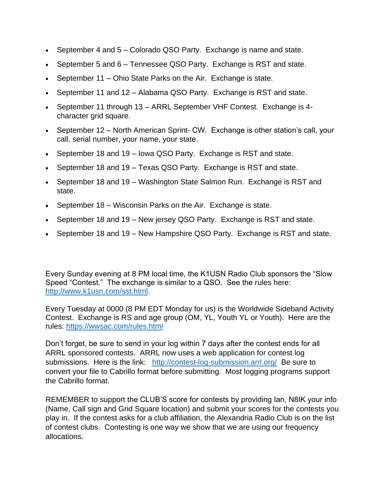- September 4 and 5 Colorado QSO Party. Exchange is name and state.
- September 5 and 6 Tennessee QSO Party. Exchange is RST and state.
- September 11 Ohio State Parks on the Air. Exchange is state.
- September 11 and 12 Alabama QSO Party. Exchange is RST and state.
- September 11 through 13 ARRL September VHF Contest. Exchange is 4 character grid square.
- September 12 North American Sprint- CW. Exchange is other station's call, your call, serial number, your name, your state.
- September 18 and 19 Iowa QSO Party. Exchange is RST and state.
- September 18 and 19 Texas QSO Party. Exchange is RST and state.
- September 18 and 19 Washington State Salmon Run. Exchange is RST and state.
- September 18 Wisconsin Parks on the Air. Exchange is state.
- September 18 and 19 New jersey QSO Party. Exchange is RST and state.
- September 18 and 19 New Hampshire QSO Party. Exchange is RST and state.

Every Sunday evening at 8 PM local time, the K1USN Radio Club sponsors the "Slow Speed "Contest." The exchange is similar to a QSO. See the rules here: [http://www.k1usn.com/sst.html.](http://www.k1usn.com/sst.html)

Every Tuesday at 0000 (8 PM EDT Monday for us) is the Worldwide Sideband Activity Contest. Exchange is RS and age group (OM, YL, Youth YL or Youth). Here are the rules:<https://wwsac.com/rules.html>

Don't forget, be sure to send in your log within 7 days after the contest ends for all ARRL sponsored contests. ARRL now uses a web application for contest log submissions. Here is the link: <http://contest-log-submission.arrl.org/>Be sure to convert your file to Cabrillo format before submitting. Most logging programs support the Cabrillo format.

REMEMBER to support the CLUB'S score for contests by providing Ian, N8IK your info (Name, Call sign and Grid Square location) and submit your scores for the contests you play in. If the contest asks for a club affiliation, the Alexandria Radio Club is on the list of contest clubs. Contesting is one way we show that we are using our frequency allocations.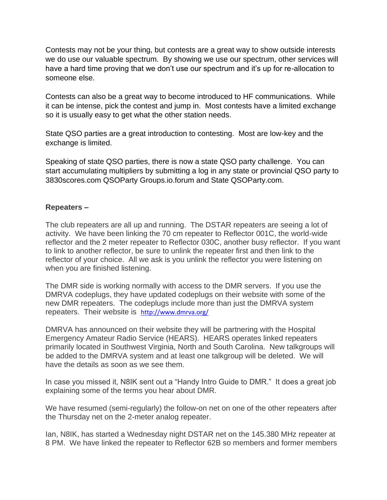Contests may not be your thing, but contests are a great way to show outside interests we do use our valuable spectrum. By showing we use our spectrum, other services will have a hard time proving that we don't use our spectrum and it's up for re-allocation to someone else.

Contests can also be a great way to become introduced to HF communications. While it can be intense, pick the contest and jump in. Most contests have a limited exchange so it is usually easy to get what the other station needs.

State QSO parties are a great introduction to contesting. Most are low-key and the exchange is limited.

Speaking of state QSO parties, there is now a state QSO party challenge. You can start accumulating multipliers by submitting a log in any state or provincial QSO party to 3830scores.com QSOParty Groups.io.forum and State QSOParty.com.

## **Repeaters –**

The club repeaters are all up and running. The DSTAR repeaters are seeing a lot of activity. We have been linking the 70 cm repeater to Reflector 001C, the world-wide reflector and the 2 meter repeater to Reflector 030C, another busy reflector. If you want to link to another reflector, be sure to unlink the repeater first and then link to the reflector of your choice. All we ask is you unlink the reflector you were listening on when you are finished listening.

The DMR side is working normally with access to the DMR servers. If you use the DMRVA codeplugs, they have updated codeplugs on their website with some of the new DMR repeaters. The codeplugs include more than just the DMRVA system repeaters. Their website is <http://www.dmrva.org/>

DMRVA has announced on their website they will be partnering with the Hospital Emergency Amateur Radio Service (HEARS). HEARS operates linked repeaters primarily located in Southwest Virginia, North and South Carolina. New talkgroups will be added to the DMRVA system and at least one talkgroup will be deleted. We will have the details as soon as we see them.

In case you missed it, N8IK sent out a "Handy Intro Guide to DMR." It does a great job explaining some of the terms you hear about DMR.

We have resumed (semi-regularly) the follow-on net on one of the other repeaters after the Thursday net on the 2-meter analog repeater.

Ian, N8IK, has started a Wednesday night DSTAR net on the 145.380 MHz repeater at 8 PM. We have linked the repeater to Reflector 62B so members and former members